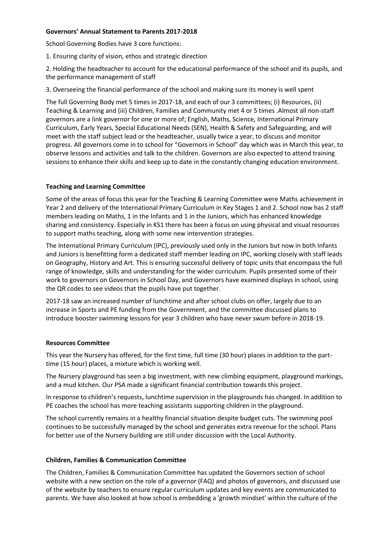## **Governors' Annual Statement to Parents 2017-2018**

School Governing Bodies have 3 core functions:

1. Ensuring clarity of vision, ethos and strategic direction

2. Holding the headteacher to account for the educational performance of the school and its pupils, and the performance management of staff

3. Overseeing the financial performance of the school and making sure its money is well spent

The full Governing Body met 5 times in 2017-18, and each of our 3 committees; (i) Resources, (ii) Teaching & Learning and (iii) Children, Families and Community met 4 or 5 times .Almost all non-staff governors are a link governor for one or more of; English, Maths, Science, International Primary Curriculum, Early Years, Special Educational Needs (SEN), Health & Safety and Safeguarding, and will meet with the staff subject lead or the headteacher, usually twice a year, to discuss and monitor progress. All governors come in to school for "Governors in School" day which was in March this year, to observe lessons and activities and talk to the children. Governors are also expected to attend training sessions to enhance their skills and keep up to date in the constantly changing education environment.

## **Teaching and Learning Committee**

Some of the areas of focus this year for the Teaching & Learning Committee were Maths achievement in Year 2 and delivery of the International Primary Curriculum in Key Stages 1 and 2. School now has 2 staff members leading on Maths, 1 in the Infants and 1 in the Juniors, which has enhanced knowledge sharing and consistency. Especially in KS1 there has been a focus on using physical and visual resources to support maths teaching, along with some new intervention strategies.

The International Primary Curriculum (IPC), previously used only in the Juniors but now in both Infants and Juniors is benefitting form a dedicated staff member leading on IPC, working closely with staff leads on Geography, History and Art. This is ensuring successful delivery of topic units that encompass the full range of knowledge, skills and understanding for the wider curriculum. Pupils presented some of their work to governors on Governors in School Day, and Governors have examined displays in school, using the QR codes to see videos that the pupils have put together.

2017-18 saw an increased number of lunchtime and after school clubs on offer, largely due to an increase in Sports and PE funding from the Government, and the committee discussed plans to introduce booster swimming lessons for year 3 children who have never swum before in 2018-19.

#### **Resources Committee**

This year the Nursery has offered, for the first time, full time (30 hour) places in addition to the parttime (15 hour) places, a mixture which is working well.

The Nursery playground has seen a big investment, with new climbing equipment, playground markings, and a mud kitchen. Our PSA made a significant financial contribution towards this project.

In response to children's requests, lunchtime supervision in the playgrounds has changed. In addition to PE coaches the school has more teaching assistants supporting children in the playground.

The school currently remains in a healthy financial situation despite budget cuts. The swimming pool continues to be successfully managed by the school and generates extra revenue for the school. Plans for better use of the Nursery building are still under discussion with the Local Authority.

#### **Children, Families & Communication Committee**

The Children, Families & Communication Committee has updated the Governors section of school website with a new section on the role of a governor (FAQ) and photos of governors, and discussed use of the website by teachers to ensure regular curriculum updates and key events are communicated to parents. We have also looked at how school is embedding a 'growth mindset' within the culture of the